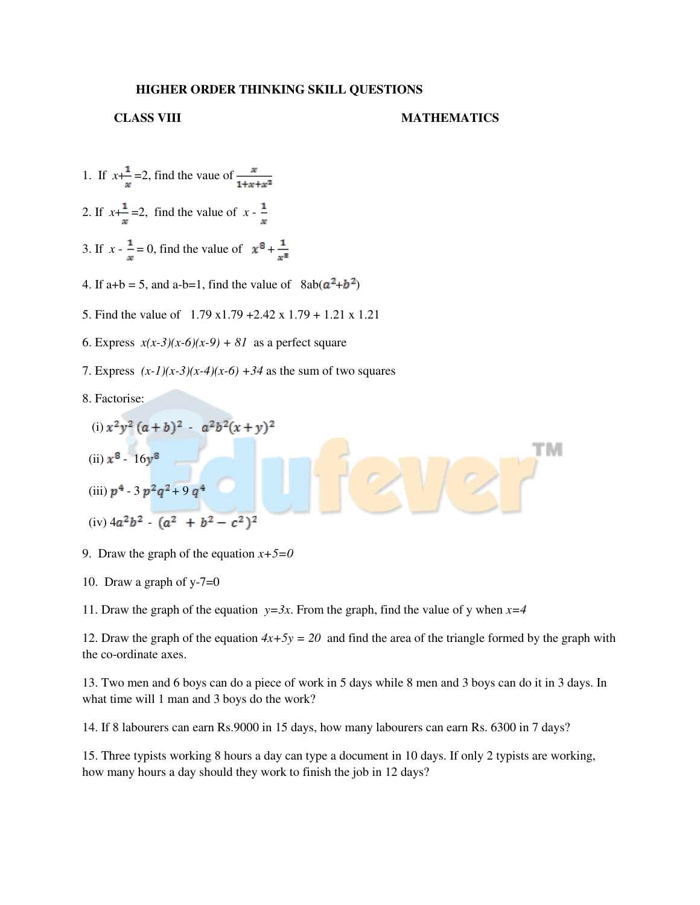## **HIGHER ORDER THINKING SKILL QUESTIONS**

## **CLASS VIII MATHEMATICS**

тм

- 1. If  $x+\frac{1}{x}=2$ , find the vaue of  $\frac{x}{1+x+x^2}$ 2. If  $x+\frac{1}{x}=2$ , find the value of  $x-\frac{1}{x}$
- 3. If  $x \frac{1}{x} = 0$ , find the value of  $x^8 + \frac{1}{x^8}$
- 4. If a+b = 5, and a-b=1, find the value of  $8ab(a^2+b^2)$
- 5. Find the value of 1.79 x1.79 +2.42 x 1.79 + 1.21 x 1.21
- 6. Express  $x(x-3)(x-6)(x-9) + 81$  as a perfect square
- 7. Express  $(x-1)(x-3)(x-4)(x-6) +34$  as the sum of two squares
- 8. Factorise:

(i) 
$$
x^2y^2(a+b)^2 - a^2b^2(x+y)^2
$$

- (ii)  $x^8 16y^8$
- (iii)  $p^4 3 p^2 q^2 + 9 q^4$
- $(iv)$  4 $a^2b^2$   $(a^2 + b^2 c^2)^2$
- 9. Draw the graph of the equation  $x+5=0$
- 10. Draw a graph of  $y-7=0$

11. Draw the graph of the equation  $y=3x$ . From the graph, find the value of y when  $x=4$ 

12. Draw the graph of the equation  $4x+5y = 20$  and find the area of the triangle formed by the graph with the co-ordinate axes.

13. Two men and 6 boys can do a piece of work in 5 days while 8 men and 3 boys can do it in 3 days. In what time will 1 man and 3 boys do the work?

14. If 8 labourers can earn Rs.9000 in 15 days, how many labourers can earn Rs. 6300 in 7 days?

15. Three typists working 8 hours a day can type a document in 10 days. If only 2 typists are working, how many hours a day should they work to finish the job in 12 days?